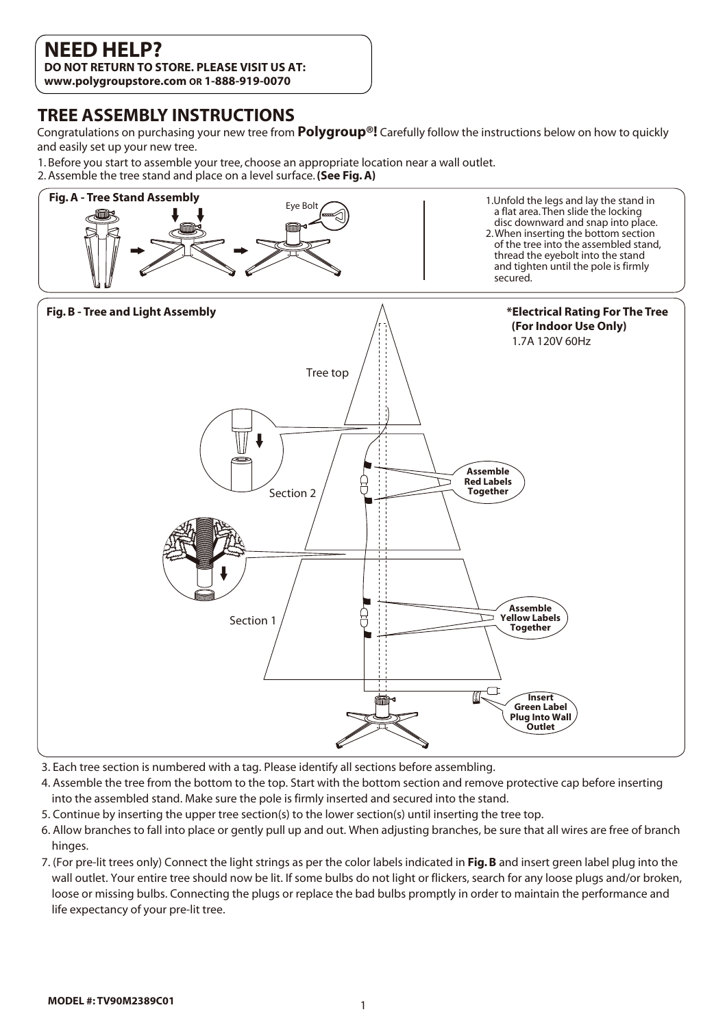## **NEED HELP?**

**DO NOT RETURN TO STORE. PLEASE VISIT US AT: www.polygroupstore.com OR 1-888-919-0070**

### **TREE ASSEMBLY INSTRUCTIONS**

Congratulations on purchasing your new tree from **Polygroup®!** Carefully follow the instructions below on how to quickly and easily set up your new tree.

1. B efore you start to assemble your tree, choose an appropriate location near a wall outlet. 2. Assemble the tree stand and place on a level surface.**(See Fig. A)**



- 3. Each tree section is numbered with a tag. Please identify all sections before assembling.
- 4. Assemble the tree from the bottom to the top. Start with the bottom section and remove protective cap before inserting into the assembled stand. Make sure the pole is firmly inserted and secured into the stand.
- 5. Continue by inserting the upper tree section(s) to the lower section(s) until inserting the tree top.
- 6. Allow branches to fall into place or gently pull up and out. When adjusting branches, be sure that all wires are free of branch hinges.
- 7. (For pre-lit trees only) Connect the light strings as per the color labels indicated in **Fig. B** and insert green label plug into the wall outlet. Your entire tree should now be lit. If some bulbs do not light or flickers, search for any loose plugs and/or broken, loose or missing bulbs. Connecting the plugs or replace the bad bulbs promptly in order to maintain the performance and life expectancy of your pre-lit tree.